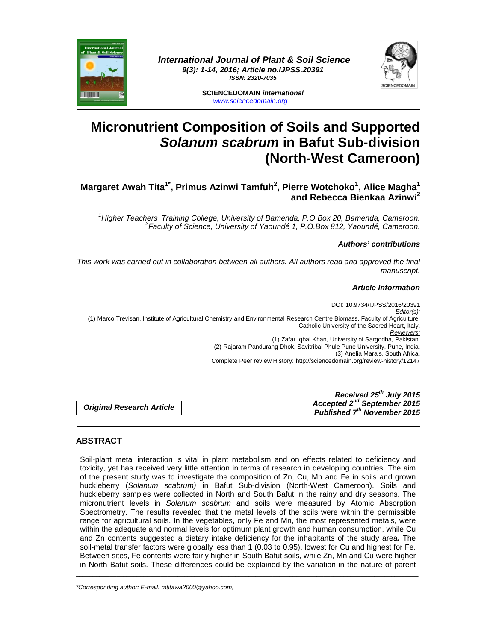

 **International Journal of Plant & Soil Science 9(3): 1-14, 2016; Article no.IJPSS.20391 ISSN: 2320-7035** 



**SCIENCEDOMAIN international**  www.sciencedomain.org

# **Micronutrient Composition of Soils and Supported Solanum scabrum in Bafut Sub-division (North-West Cameroon)**

# **Margaret Awah Tita1\*, Primus Azinwi Tamfuh<sup>2</sup> , Pierre Wotchoko<sup>1</sup> , Alice Magha<sup>1</sup> and Rebecca Bienkaa Azinwi<sup>2</sup>**

<sup>1</sup>Higher Teachers' Training College, University of Bamenda, P.O.Box 20, Bamenda, Cameroon. <sup>2</sup> Faculty of Science, University of Yaoundé 1, P.O.Box 812, Yaoundé, Cameroon.

#### **Authors' contributions**

This work was carried out in collaboration between all authors. All authors read and approved the final manuscript.

#### **Article Information**

DOI: 10.9734/IJPSS/2016/20391 Editor(s): (1) Marco Trevisan, Institute of Agricultural Chemistry and Environmental Research Centre Biomass, Faculty of Agriculture, Catholic University of the Sacred Heart, Italy. Reviewers: (1) Zafar Iqbal Khan, University of Sargodha, Pakistan. (2) Rajaram Pandurang Dhok, Savitribai Phule Pune University, Pune, India. (3) Anelia Marais, South Africa. Complete Peer review History: http://sciencedomain.org/review-history/12147

**Original Research Article** 

**Received 25th July 2015 Accepted 2nd September 2015 Published 7th November 2015**

# **ABSTRACT**

Soil-plant metal interaction is vital in plant metabolism and on effects related to deficiency and toxicity, yet has received very little attention in terms of research in developing countries. The aim of the present study was to investigate the composition of Zn, Cu, Mn and Fe in soils and grown huckleberry (Solanum scabrum) in Bafut Sub-division (North-West Cameroon). Soils and huckleberry samples were collected in North and South Bafut in the rainy and dry seasons. The micronutrient levels in Solanum scabrum and soils were measured by Atomic Absorption Spectrometry. The results revealed that the metal levels of the soils were within the permissible range for agricultural soils. In the vegetables, only Fe and Mn, the most represented metals, were within the adequate and normal levels for optimum plant growth and human consumption, while Cu and Zn contents suggested a dietary intake deficiency for the inhabitants of the study area**.** The soil-metal transfer factors were globally less than 1 (0.03 to 0.95), lowest for Cu and highest for Fe. Between sites, Fe contents were fairly higher in South Bafut soils, while Zn, Mn and Cu were higher in North Bafut soils. These differences could be explained by the variation in the nature of parent

\_\_\_\_\_\_\_\_\_\_\_\_\_\_\_\_\_\_\_\_\_\_\_\_\_\_\_\_\_\_\_\_\_\_\_\_\_\_\_\_\_\_\_\_\_\_\_\_\_\_\_\_\_\_\_\_\_\_\_\_\_\_\_\_\_\_\_\_\_\_\_\_\_\_\_\_\_\_\_\_\_\_\_\_\_\_\_\_\_\_\_\_\_\_\_\_\_\_\_\_\_

\*Corresponding author: E-mail: mtitawa2000@yahoo.com;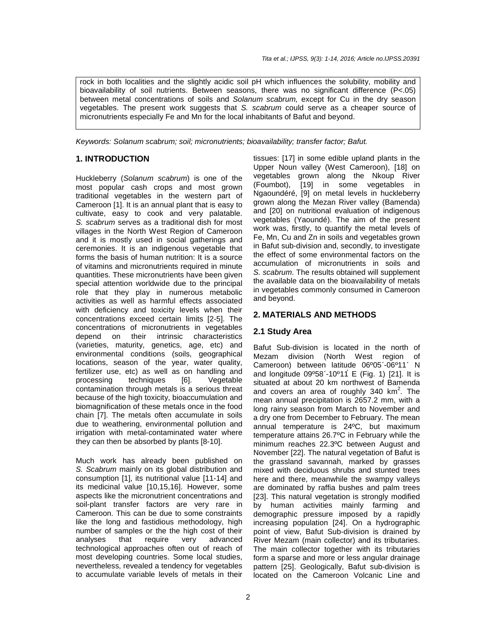rock in both localities and the slightly acidic soil pH which influences the solubility, mobility and bioavailability of soil nutrients. Between seasons, there was no significant difference (P<.05) between metal concentrations of soils and Solanum scabrum, except for Cu in the dry season vegetables. The present work suggests that S. scabrum could serve as a cheaper source of micronutrients especially Fe and Mn for the local inhabitants of Bafut and beyond.

Keywords: Solanum scabrum; soil; micronutrients; bioavailability; transfer factor; Bafut.

#### **1. INTRODUCTION**

Huckleberry (Solanum scabrum) is one of the most popular cash crops and most grown traditional vegetables in the western part of Cameroon [1]. It is an annual plant that is easy to cultivate, easy to cook and very palatable. S. scabrum serves as a traditional dish for most villages in the North West Region of Cameroon and it is mostly used in social gatherings and ceremonies. It is an indigenous vegetable that forms the basis of human nutrition: It is a source of vitamins and micronutrients required in minute quantities. These micronutrients have been given special attention worldwide due to the principal role that they play in numerous metabolic activities as well as harmful effects associated with deficiency and toxicity levels when their concentrations exceed certain limits [2-5]. The concentrations of micronutrients in vegetables depend on their intrinsic characteristics (varieties, maturity, genetics, age, etc) and environmental conditions (soils, geographical locations, season of the year, water quality, fertilizer use, etc) as well as on handling and processing techniques [6]. Vegetable contamination through metals is a serious threat because of the high toxicity, bioaccumulation and biomagnification of these metals once in the food chain [7]. The metals often accumulate in soils due to weathering, environmental pollution and irrigation with metal-contaminated water where they can then be absorbed by plants [8-10].

Much work has already been published on S. Scabrum mainly on its global distribution and consumption [1], its nutritional value [11-14] and its medicinal value [10,15,16]. However, some aspects like the micronutrient concentrations and soil-plant transfer factors are very rare in Cameroon. This can be due to some constraints like the long and fastidious methodology, high number of samples or the the high cost of their analyses that require very advanced technological approaches often out of reach of most developing countries. Some local studies, nevertheless, revealed a tendency for vegetables to accumulate variable levels of metals in their

tissues: [17] in some edible upland plants in the Upper Noun valley (West Cameroon), [18] on vegetables grown along the Nkoup River (Foumbot), [19] in some vegetables in Ngaoundéré, [9] on metal levels in huckleberry grown along the Mezan River valley (Bamenda) and [20] on nutritional evaluation of indigenous vegetables (Yaoundé). The aim of the present work was, firstly, to quantify the metal levels of Fe, Mn, Cu and Zn in soils and vegetables grown in Bafut sub-division and, secondly, to investigate the effect of some environmental factors on the accumulation of micronutrients in soils and S. scabrum. The results obtained will supplement the available data on the bioavailability of metals in vegetables commonly consumed in Cameroon and beyond.

#### **2. MATERIALS AND METHODS**

#### **2.1 Study Area**

Bafut Sub-division is located in the north of Mezam division (North West region of Cameroon) between latitude 06º05΄-06º11΄ N and longitude  $09^{\circ}58' - 10^{\circ}11'$  E (Fig. 1) [21]. It is situated at about 20 km northwest of Bamenda and covers an area of roughly 340  $km^2$ . The mean annual precipitation is 2657.2 mm, with a long rainy season from March to November and a dry one from December to February. The mean annual temperature is 24ºC, but maximum temperature attains 26.7ºC in February while the minimum reaches 22.3ºC between August and November [22]. The natural vegetation of Bafut is the grassland savannah, marked by grasses mixed with deciduous shrubs and stunted trees here and there, meanwhile the swampy valleys are dominated by raffia bushes and palm trees [23]. This natural vegetation is strongly modified by human activities mainly farming and demographic pressure imposed by a rapidly increasing population [24]. On a hydrographic point of view, Bafut Sub-division is drained by River Mezam (main collector) and its tributaries. The main collector together with its tributaries form a sparse and more or less angular drainage pattern [25]. Geologically, Bafut sub-division is located on the Cameroon Volcanic Line and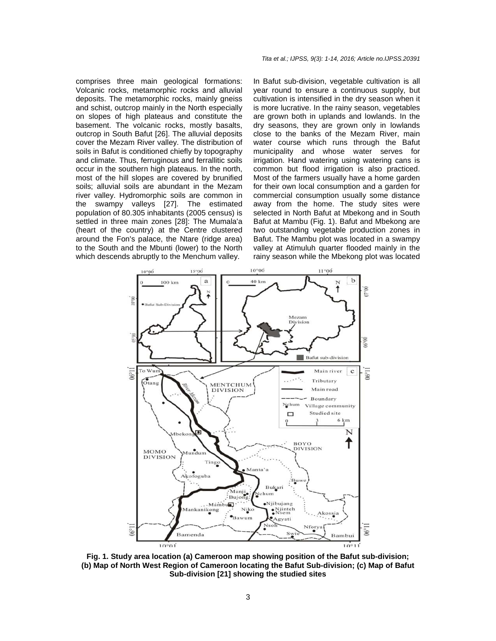comprises three main geological formations: Volcanic rocks, metamorphic rocks and alluvial deposits. The metamorphic rocks, mainly gneiss and schist, outcrop mainly in the North especially on slopes of high plateaus and constitute the basement. The volcanic rocks, mostly basalts, outcrop in South Bafut [26]. The alluvial deposits cover the Mezam River valley. The distribution of soils in Bafut is conditioned chiefly by topography and climate. Thus, ferruginous and ferrallitic soils occur in the southern high plateaus. In the north, most of the hill slopes are covered by brunified soils; alluvial soils are abundant in the Mezam river valley. Hydromorphic soils are common in the swampy valleys [27]. The estimated population of 80.305 inhabitants (2005 census) is settled in three main zones [28]: The Mumala'a (heart of the country) at the Centre clustered around the Fon's palace, the Ntare (ridge area) to the South and the Mbunti (lower) to the North which descends abruptly to the Menchum valley.

#### Tita et al.; IJPSS, 9(3): 1-14, 2016; Article no.IJPSS.20391

In Bafut sub-division, vegetable cultivation is all year round to ensure a continuous supply, but cultivation is intensified in the dry season when it is more lucrative. In the rainy season, vegetables are grown both in uplands and lowlands. In the dry seasons, they are grown only in lowlands close to the banks of the Mezam River, main water course which runs through the Bafut municipality and whose water serves for irrigation. Hand watering using watering cans is common but flood irrigation is also practiced. Most of the farmers usually have a home garden for their own local consumption and a garden for commercial consumption usually some distance away from the home. The study sites were selected in North Bafut at Mbekong and in South Bafut at Mambu (Fig. 1). Bafut and Mbekong are two outstanding vegetable production zones in Bafut. The Mambu plot was located in a swampy valley at Atimuluh quarter flooded mainly in the rainy season while the Mbekong plot was located



**Fig. 1. Study area location (a) Cameroon map showing position of the Bafut sub-division; (b) Map of North West Region of Cameroon locating the Bafut Sub-division; (c) Map of Bafut Sub-division [21] showing the studied sites**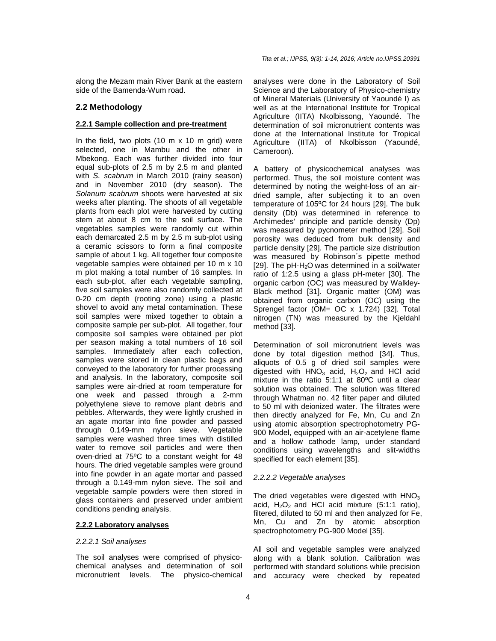along the Mezam main River Bank at the eastern side of the Bamenda-Wum road.

#### **2.2 Methodology**

#### **2.2.1 Sample collection and pre-treatment**

In the field**,** two plots (10 m x 10 m grid) were selected, one in Mambu and the other in Mbekong. Each was further divided into four equal sub-plots of 2.5 m by 2.5 m and planted with S. scabrum in March 2010 (rainy season) and in November 2010 (dry season). The Solanum scabrum shoots were harvested at six weeks after planting. The shoots of all vegetable plants from each plot were harvested by cutting stem at about 8 cm to the soil surface. The vegetables samples were randomly cut within each demarcated 2.5 m by 2.5 m sub-plot using a ceramic scissors to form a final composite sample of about 1 kg. All together four composite vegetable samples were obtained per 10 m x 10 m plot making a total number of 16 samples. In each sub-plot, after each vegetable sampling, five soil samples were also randomly collected at 0-20 cm depth (rooting zone) using a plastic shovel to avoid any metal contamination. These soil samples were mixed together to obtain a composite sample per sub-plot. All together, four composite soil samples were obtained per plot per season making a total numbers of 16 soil samples. Immediately after each collection, samples were stored in clean plastic bags and conveyed to the laboratory for further processing and analysis. In the laboratory, composite soil samples were air-dried at room temperature for one week and passed through a 2-mm polyethylene sieve to remove plant debris and pebbles. Afterwards, they were lightly crushed in an agate mortar into fine powder and passed through 0.149-mm nylon sieve. Vegetable samples were washed three times with distilled water to remove soil particles and were then oven-dried at 75ºC to a constant weight for 48 hours. The dried vegetable samples were ground into fine powder in an agate mortar and passed through a 0.149-mm nylon sieve. The soil and vegetable sample powders were then stored in glass containers and preserved under ambient conditions pending analysis.

#### **2.2.2 Laboratory analyses**

#### 2.2.2.1 Soil analyses

The soil analyses were comprised of physicochemical analyses and determination of soil micronutrient levels. The physico-chemical analyses were done in the Laboratory of Soil Science and the Laboratory of Physico-chemistry of Mineral Materials (University of Yaoundé I) as well as at the International Institute for Tropical Agriculture (IITA) Nkolbissong, Yaoundé. The determination of soil micronutrient contents was done at the International Institute for Tropical Agriculture (IITA) of Nkolbisson (Yaoundé, Cameroon).

A battery of physicochemical analyses was performed. Thus, the soil moisture content was determined by noting the weight-loss of an airdried sample, after subjecting it to an oven temperature of 105ºC for 24 hours [29]. The bulk density (Db) was determined in reference to Archimedes' principle and particle density (Dp) was measured by pycnometer method [29]. Soil porosity was deduced from bulk density and particle density [29]. The particle size distribution was measured by Robinson´s pipette method [29]. The  $pH-H<sub>2</sub>O$  was determined in a soil/water ratio of 1:2.5 using a glass pH-meter [30]. The organic carbon (OC) was measured by Walkley-Black method [31]. Organic matter (OM) was obtained from organic carbon (OC) using the Sprengel factor (OM= OC x 1.724) [32]. Total nitrogen (TN) was measured by the Kjeldahl method [33].

Determination of soil micronutrient levels was done by total digestion method [34]. Thus, aliquots of 0.5 g of dried soil samples were digested with  $HNO<sub>3</sub>$  acid,  $H<sub>2</sub>O<sub>2</sub>$  and HCl acid mixture in the ratio 5:1:1 at 80ºC until a clear solution was obtained. The solution was filtered through Whatman no. 42 filter paper and diluted to 50 ml with deionized water. The filtrates were then directly analyzed for Fe, Mn, Cu and Zn using atomic absorption spectrophotometry PG-900 Model, equipped with an air-acetylene flame and a hollow cathode lamp, under standard conditions using wavelengths and slit-widths specified for each element [35].

#### 2.2.2.2 Vegetable analyses

The dried vegetables were digested with  $HNO<sub>3</sub>$ acid,  $H_2O_2$  and HCl acid mixture (5:1:1 ratio), filtered, diluted to 50 ml and then analyzed for Fe, Mn, Cu and Zn by atomic absorption spectrophotometry PG-900 Model [35].

All soil and vegetable samples were analyzed along with a blank solution. Calibration was performed with standard solutions while precision and accuracy were checked by repeated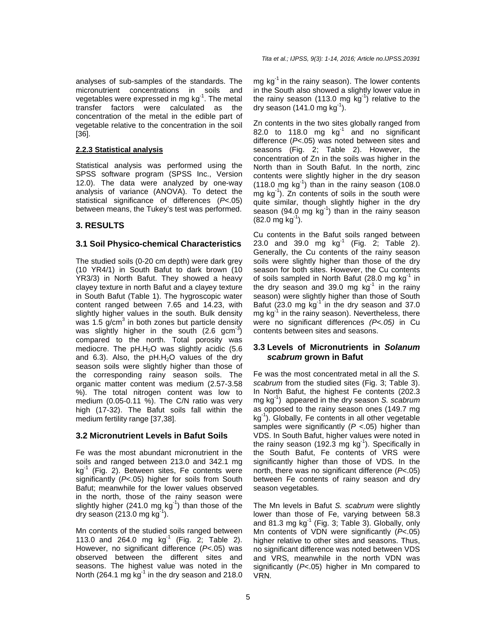analyses of sub-samples of the standards. The micronutrient concentrations in soils and vegetables were expressed in mg  $kg^{-1}$ . The metal transfer factors were calculated as the concentration of the metal in the edible part of vegetable relative to the concentration in the soil [36].

#### **2.2.3 Statistical analysis**

Statistical analysis was performed using the SPSS software program (SPSS Inc., Version 12.0). The data were analyzed by one-way analysis of variance (ANOVA). To detect the statistical significance of differences (P<.05) between means, the Tukey's test was performed.

# **3. RESULTS**

#### **3.1 Soil Physico-chemical Characteristics**

The studied soils (0-20 cm depth) were dark grey (10 YR4/1) in South Bafut to dark brown (10 YR3/3) in North Bafut. They showed a heavy clayey texture in north Bafut and a clayey texture in South Bafut (Table 1). The hygroscopic water content ranged between 7.65 and 14.23, with slightly higher values in the south. Bulk density was 1.5  $g/cm<sup>3</sup>$  in both zones but particle density was slightly higher in the south  $(2.6 \text{ gcm}^{-3})$ compared to the north. Total porosity was mediocre. The  $pH.H<sub>2</sub>O$  was slightly acidic (5.6) and 6.3). Also, the  $pH.H<sub>2</sub>O$  values of the dry season soils were slightly higher than those of the corresponding rainy season soils. The organic matter content was medium (2.57-3.58 %). The total nitrogen content was low to medium (0.05-0.11 %). The C/N ratio was very high (17-32). The Bafut soils fall within the medium fertility range [37,38].

#### **3.2 Micronutrient Levels in Bafut Soils**

Fe was the most abundant micronutrient in the soils and ranged between 213.0 and 342.1 mg  $kg<sup>-1</sup>$  (Fig. 2). Between sites, Fe contents were significantly  $(P<.05)$  higher for soils from South Bafut; meanwhile for the lower values observed in the north, those of the rainy season were slightly higher (241.0 mg  $kg^{-1}$ ) than those of the dry season (213.0 mg  $kg^{-1}$ ).

Mn contents of the studied soils ranged between 113.0 and 264.0 mg  $kq^{-1}$  (Fig. 2; Table 2). However, no significant difference (P<.05) was observed between the different sites and seasons. The highest value was noted in the North (264.1 mg  $kg^{-1}$  in the dry season and 218.0 mg  $kg^{-1}$  in the rainy season). The lower contents in the South also showed a slightly lower value in the rainy season (113.0 mg  $kg^{-1}$ ) relative to the dry season  $(141.0 \text{ mg kg}^{-1})$ .

Zn contents in the two sites globally ranged from 82.0 to 118.0 mg  $kg^{-1}$  and no significant difference (P<.05) was noted between sites and seasons (Fig. 2; Table 2). However, the concentration of Zn in the soils was higher in the North than in South Bafut. In the north, zinc contents were slightly higher in the dry season  $(118.0 \text{ mg kg}^{-1})$  than in the rainy season  $(108.0 \text{ m})$ mg kg<sup>-1</sup>). Zn contents of soils in the south were quite similar, though slightly higher in the dry season (94.0 mg  $kg^{-1}$ ) than in the rainy season  $(82.0 \text{ mg kg}^{-1})$ .

Cu contents in the Bafut soils ranged between 23.0 and 39.0 mg  $kg^{-1}$  (Fig. 2; Table 2). Generally, the Cu contents of the rainy season soils were slightly higher than those of the dry season for both sites. However, the Cu contents of soils sampled in North Bafut (28.0 mg  $kg<sup>-1</sup>$  in the dry season and 39.0 mg  $kg^{-1}$  in the rainy season) were slightly higher than those of South Bafut (23.0 mg  $kg^{-1}$  in the dry season and 37.0  $mg$  kg<sup>-1</sup> in the rainy season). Nevertheless, there were no significant differences (P<.05) in Cu contents between sites and seasons.

#### **3.3 Levels of Micronutrients in Solanum scabrum grown in Bafut**

Fe was the most concentrated metal in all the S. scabrum from the studied sites (Fig. 3; Table 3). In North Bafut, the highest Fe contents (202.3 mg  $kg^{-1}$ ) appeared in the dry season S. scabrum as opposed to the rainy season ones (149.7 mg  $kg^{-1}$ ). Globally, Fe contents in all other vegetable samples were significantly ( $P$  <.05) higher than VDS. In South Bafut, higher values were noted in the rainy season (192.3 mg  $kg^{-1}$ ). Specifically in the South Bafut, Fe contents of VRS were significantly higher than those of VDS. In the north, there was no significant difference (P<.05) between Fe contents of rainy season and dry season vegetables.

The Mn levels in Bafut S. scabrum were slightly lower than those of Fe, varying between 58.3 and 81.3 mg  $kg^{-1}$  (Fig. 3; Table 3). Globally, only Mn contents of VDN were significantly  $(P<.05)$ higher relative to other sites and seasons. Thus, no significant difference was noted between VDS and VRS, meanwhile in the north VDN was significantly (P<.05) higher in Mn compared to VRN.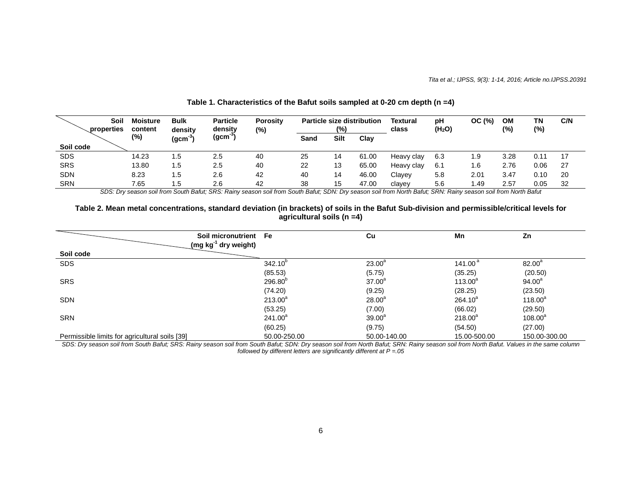| Soil<br>properties | <b>Moisture</b><br>content | <b>Bulk</b><br>density | <b>Particle</b><br>density | <b>Porosity</b><br>(%) |      | (%)  | <b>Particle size distribution</b> | <b>Textural</b><br>class | pH<br>(H <sub>2</sub> O) | OC (%) | <b>OM</b><br>(%) | ΤN<br>$(\%)$ | C/N |
|--------------------|----------------------------|------------------------|----------------------------|------------------------|------|------|-----------------------------------|--------------------------|--------------------------|--------|------------------|--------------|-----|
|                    | (%)                        | (gcm <sup>3</sup>      | (gcm <sup>-3)</sup>        |                        | Sand | Silt | Clay                              |                          |                          |        |                  |              |     |
| Soil code          |                            |                        |                            |                        |      |      |                                   |                          |                          |        |                  |              |     |
| <b>SDS</b>         | 14.23                      | 1.5                    | 2.5                        | 40                     | 25   | 14   | 61.00                             | Heavy clay               | 6.3                      | 9.۱    | 3.28             | 0.11         | 17  |
| <b>SRS</b>         | 13.80                      | 1.5                    | 2.5                        | 40                     | 22   | 13   | 65.00                             | Heavy clay               | 6.1                      | 1.6    | 2.76             | 0.06         | 27  |
| <b>SDN</b>         | 8.23                       | 1.5                    | 2.6                        | 42                     | 40   | 14   | 46.00                             | Clayey                   | 5.8                      | 2.01   | 3.47             | 0.10         | 20  |
| <b>SRN</b>         | 7.65                       | 1.5                    | 2.6                        | 42                     | 38   | 15   | 47.00                             | clayey                   | 5.6                      | 1.49   | 2.57             | 0.05         | 32  |

# **Table 1. Characteristics of the Bafut soils sampled at 0-20 cm depth (n =4)**

SDS: Dry season soil from South Bafut; SRS: Rainy season soil from South Bafut; SDN: Dry season soil from North Bafut; SRN: Rainy season soil from North Bafut

#### **Table 2. Mean metal concentrations, standard deviation (in brackets) of soils in the Bafut Sub-division and permissible/critical levels for agricultural soils (n =4)**

| Soil micronutrient Fe<br>(mg $kg^{-1}$ dry weight) |              | Cu           | Mn           | Zn            |
|----------------------------------------------------|--------------|--------------|--------------|---------------|
| Soil code                                          |              |              |              |               |
| <b>SDS</b>                                         | $342.10^{p}$ | $23.00^a$    | 141.00 $a$   | $82.00^{a}$   |
|                                                    | (85.53)      | (5.75)       | (35.25)      | (20.50)       |
| <b>SRS</b>                                         | $296.80^{p}$ | $37.00^a$    | $113.00^a$   | $94.00^a$     |
|                                                    | (74.20)      | (9.25)       | (28.25)      | (23.50)       |
| <b>SDN</b>                                         | $213.00^a$   | $28.00^a$    | $264.10^{a}$ | $118.00^a$    |
|                                                    | (53.25)      | (7.00)       | (66.02)      | (29.50)       |
| <b>SRN</b>                                         | $241.00^a$   | $39.00^{a}$  | $218.00^4$   | $108.00^a$    |
|                                                    | (60.25)      | (9.75)       | (54.50)      | (27.00)       |
| Permissible limits for agricultural soils [39]     | 50.00-250.00 | 50.00-140.00 | 15.00-500.00 | 150.00-300.00 |

SDS: Dry season soil from South Bafut; SRS: Rainy season soil from South Bafut; SDN: Dry season soil from North Bafut; SRN: Rainy season soil from North Bafut. Values in the same column followed by different letters are significantly different at  $P = .05$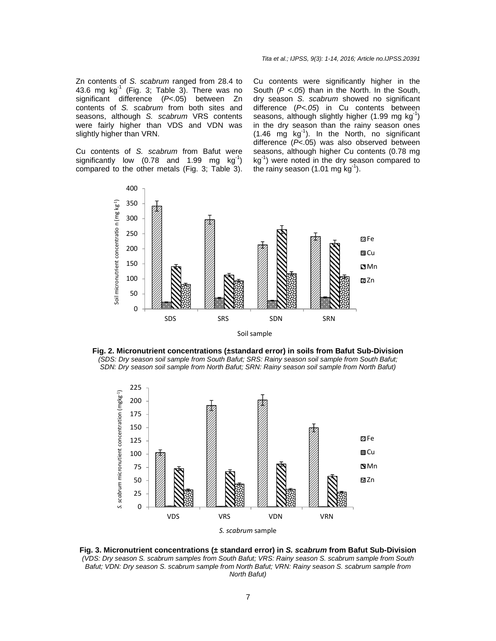Zn contents of S. scabrum ranged from 28.4 to 43.6 mg  $kg^{-1}$  (Fig. 3; Table 3). There was no significant difference (P<.05) between Zn contents of S. scabrum from both sites and seasons, although S. scabrum VRS contents were fairly higher than VDS and VDN was slightly higher than VRN.

Cu contents of S. scabrum from Bafut were significantly low (0.78 and 1.99 mg  $kg^{-1}$ ) compared to the other metals (Fig. 3; Table 3). Cu contents were significantly higher in the South  $(P < .05)$  than in the North. In the South, dry season S. scabrum showed no significant difference (P<.05) in Cu contents between seasons, although slightly higher  $(1.99 \text{ mg kg}^{-1})$ in the dry season than the rainy season ones  $(1.46 \text{ mg kg}^{-1})$ . In the North, no significant difference (P<.05) was also observed between seasons, although higher Cu contents (0.78 mg  $kg^{-1}$ ) were noted in the dry season compared to the rainy season  $(1.01 \text{ mg kg}^{-1})$ .



Soil sample





**Fig. 3. Micronutrient concentrations (± standard error) in S. scabrum from Bafut Sub-Division**  (VDS: Dry season S. scabrum samples from South Bafut; VRS: Rainy season S. scabrum sample from South Bafut; VDN: Dry season S. scabrum sample from North Bafut; VRN: Rainy season S. scabrum sample from North Bafut)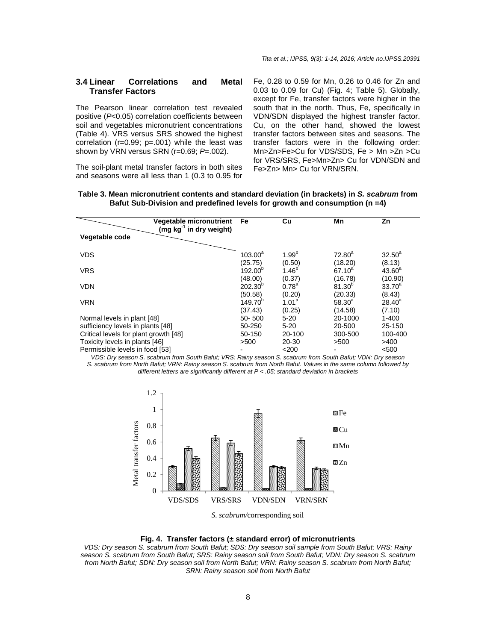#### **3.4 Linear Correlations and Metal Transfer Factors**

The Pearson linear correlation test revealed positive (P<0.05) correlation coefficients between soil and vegetables micronutrient concentrations (Table 4). VRS versus SRS showed the highest correlation (r=0.99; p=.001) while the least was shown by VRN versus SRN (r=0.69; P=.002).

The soil-plant metal transfer factors in both sites and seasons were all less than 1 (0.3 to 0.95 for Fe, 0.28 to 0.59 for Mn, 0.26 to 0.46 for Zn and 0.03 to 0.09 for Cu) (Fig. 4; Table 5). Globally, except for Fe, transfer factors were higher in the south that in the north. Thus, Fe, specifically in VDN/SDN displayed the highest transfer factor. Cu, on the other hand, showed the lowest transfer factors between sites and seasons. The transfer factors were in the following order: Mn>Zn>Fe>Cu for VDS/SDS, Fe > Mn >Zn >Cu for VRS/SRS, Fe>Mn>Zn> Cu for VDN/SDN and Fe>Zn> Mn> Cu for VRN/SRN.

| <b>Vegetable micronutrient</b><br>(mg kg <sup>-1</sup> in dry weight)<br>Vegetable code | Fe           | Cu         | Mn          | Zn          |  |
|-----------------------------------------------------------------------------------------|--------------|------------|-------------|-------------|--|
| <b>VDS</b>                                                                              | $103.00^a$   | $1.99^{b}$ | $72.80^a$   | $32.50^a$   |  |
|                                                                                         | (25.75)      | (0.50)     | (18.20)     | (8.13)      |  |
| <b>VRS</b>                                                                              | $192.00^{p}$ | $1.46^{b}$ | $67.10^{a}$ | $43.60^a$   |  |
|                                                                                         | (48.00)      | (0.37)     | (16.78)     | (10.90)     |  |
| <b>VDN</b>                                                                              | $202.30^{b}$ | $0.78^{a}$ | $81.30^{b}$ | $33.70^{a}$ |  |
|                                                                                         | (50.58)      | (0.20)     | (20.33)     | (8.43)      |  |
| <b>VRN</b>                                                                              | $149.70^{p}$ | $1.01^a$   | $58.30^{a}$ | $28.40^a$   |  |
|                                                                                         | (37.43)      | (0.25)     | (14.58)     | (7.10)      |  |
| Normal levels in plant [48]                                                             | 50-500       | $5 - 20$   | 20-1000     | $1 - 400$   |  |
| sufficiency levels in plants [48]                                                       | 50-250       | $5 - 20$   | 20-500      | 25-150      |  |
| Critical levels for plant growth [48]                                                   | 50-150       | 20-100     | 300-500     | 100-400     |  |
| Toxicity levels in plants [46]                                                          | >500         | 20-30      | >500        | >400        |  |
| Permissible levels in food [53]                                                         |              | $<$ 200    |             | < 500       |  |

| Table 3. Mean micronutrient contents and standard deviation (in brackets) in S. scabrum from |  |  |
|----------------------------------------------------------------------------------------------|--|--|
| Bafut Sub-Division and predefined levels for growth and consumption ( $n = 4$ )              |  |  |

VDS: Dry season S. scabrum from South Bafut; VRS: Rainy season S. scabrum from South Bafut; VDN: Dry season S. scabrum from North Bafut; VRN: Rainy season S. scabrum from North Bafut. Values in the same column followed by different letters are significantly different at P < .05; standard deviation in brackets



*S. scabrum/*corresponding soil

#### **Fig. 4. Transfer factors (± standard error) of micronutrients**

VDS: Dry season S. scabrum from South Bafut; SDS: Dry season soil sample from South Bafut; VRS: Rainy season S. scabrum from South Bafut; SRS: Rainy season soil from South Bafut; VDN: Dry season S. scabrum from North Bafut; SDN: Dry season soil from North Bafut; VRN: Rainy season S. scabrum from North Bafut; SRN: Rainy season soil from North Bafut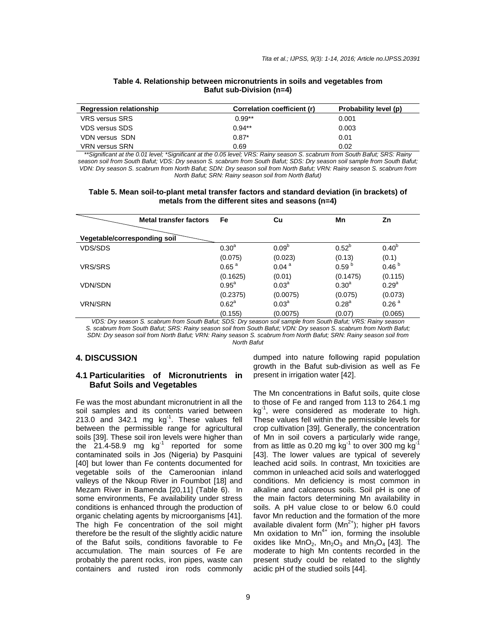| <b>Regression relationship</b> | Correlation coefficient (r) | Probability level (p) |
|--------------------------------|-----------------------------|-----------------------|
| <b>VRS versus SRS</b>          | $0.99**$                    | 0.001                 |
| <b>VDS versus SDS</b>          | $0.94**$                    | 0.003                 |
| VDN versus SDN                 | $0.87*$                     | 0.01                  |
| <b>VRN versus SRN</b>          | 0.69                        | 0.02                  |

#### **Table 4. Relationship between micronutrients in soils and vegetables from Bafut sub-Division (n=4)**

\*\*Significant at the 0.01 level; \*Significant at the 0.05 level; VRS: Rainy season S. scabrum from South Bafut; SRS: Rainy season soil from South Bafut; VDS: Dry season S. scabrum from South Bafut; SDS: Dry season soil sample from South Bafut; VDN: Dry season S. scabrum from North Bafut; SDN: Dry season soil from North Bafut; VRN: Rainy season S. scabrum from North Bafut; SRN: Rainy season soil from North Bafut)

#### **Table 5. Mean soil-to-plant metal transfer factors and standard deviation (in brackets) of metals from the different sites and seasons (n=4)**

|                              | <b>Metal transfer factors</b>                                                                                                                                                                                                                                                                        | Fe                | Cu                | Mn                                                                                                                                                                                                                                                                                                                          | Zn                |
|------------------------------|------------------------------------------------------------------------------------------------------------------------------------------------------------------------------------------------------------------------------------------------------------------------------------------------------|-------------------|-------------------|-----------------------------------------------------------------------------------------------------------------------------------------------------------------------------------------------------------------------------------------------------------------------------------------------------------------------------|-------------------|
| Vegetable/corresponding soil |                                                                                                                                                                                                                                                                                                      |                   |                   |                                                                                                                                                                                                                                                                                                                             |                   |
| <b>VDS/SDS</b>               |                                                                                                                                                                                                                                                                                                      | 0.30 <sup>a</sup> | 0.09 <sup>b</sup> | $0.52^{b}$                                                                                                                                                                                                                                                                                                                  | $0.40^{b}$        |
|                              |                                                                                                                                                                                                                                                                                                      | (0.075)           | (0.023)           | (0.13)                                                                                                                                                                                                                                                                                                                      | (0.1)             |
| <b>VRS/SRS</b>               |                                                                                                                                                                                                                                                                                                      | 0.65 <sup>a</sup> | 0.04 <sup>a</sup> | 0.59 <sup>b</sup>                                                                                                                                                                                                                                                                                                           | 0.46 <sup>b</sup> |
|                              |                                                                                                                                                                                                                                                                                                      | (0.1625)          | (0.01)            | (0.1475)                                                                                                                                                                                                                                                                                                                    | (0.115)           |
| <b>VDN/SDN</b>               |                                                                                                                                                                                                                                                                                                      | $0.95^{\text{a}}$ | $0.03^{\circ}$    | $0.30^{a}$                                                                                                                                                                                                                                                                                                                  | $0.29^{a}$        |
|                              |                                                                                                                                                                                                                                                                                                      | (0.2375)          | (0.0075)          | (0.075)                                                                                                                                                                                                                                                                                                                     | (0.073)           |
| <b>VRN/SRN</b>               |                                                                                                                                                                                                                                                                                                      | $0.62^{\circ}$    | $0.03^{\circ}$    | $0.28^{a}$                                                                                                                                                                                                                                                                                                                  | 0.26 <sup>a</sup> |
|                              | $1/DQ$ , $D_{m+1}$ , $1/D$ , $1/D$ , $1/D$ , $1/D$ , $1/D$ , $1/D$ , $1/D$ , $1/D$ , $1/D$ , $1/D$ , $1/D$ , $1/D$ , $1/D$ , $1/D$ , $1/D$ , $1/D$ , $1/D$ , $1/D$ , $1/D$ , $1/D$ , $1/D$ , $1/D$ , $1/D$ , $1/D$ , $1/D$ , $1/D$ , $1/D$ , $1/D$ , $1/D$ , $1/D$ , $1/D$ , $1/D$ , $1/D$ , $1/D$ , | (0.155)           | (0.0075)          | (0.07)<br>$\mathcal{L}$ and $\mathcal{L}$ and $\mathcal{L}$ and $\mathcal{L}$ and $\mathcal{L}$ and $\mathcal{L}$ and $\mathcal{L}$ and $\mathcal{L}$ and $\mathcal{L}$ and $\mathcal{L}$ and $\mathcal{L}$ and $\mathcal{L}$ and $\mathcal{L}$ and $\mathcal{L}$ and $\mathcal{L}$ and $\mathcal{L}$ and $\mathcal{L}$ and | (0.065)           |

VDS: Dry season S. scabrum from South Bafut; SDS: Dry season soil sample from South Bafut; VRS: Rainy season S. scabrum from South Bafut; SRS: Rainy season soil from South Bafut; VDN: Dry season S. scabrum from North Bafut; SDN: Dry season soil from North Bafut; VRN: Rainy season S. scabrum from North Bafut; SRN: Rainy season soil from

#### North Bafut

#### **4. DISCUSSION**

#### **4.1 Particularities of Micronutrients in Bafut Soils and Vegetables**

Fe was the most abundant micronutrient in all the soil samples and its contents varied between 213.0 and 342.1 mg  $kg^{-1}$ . These values fell between the permissible range for agricultural soils [39]. These soil iron levels were higher than the  $21.4-58.9$  mg  $\text{kg}^{-1}$  reported for some contaminated soils in Jos (Nigeria) by Pasquini [40] but lower than Fe contents documented for vegetable soils of the Cameroonian inland valleys of the Nkoup River in Foumbot [18] and Mezam River in Bamenda [20,11] (Table 6). In some environments, Fe availability under stress conditions is enhanced through the production of organic chelating agents by microorganisms [41]. The high Fe concentration of the soil might therefore be the result of the slightly acidic nature of the Bafut soils, conditions favorable to Fe accumulation. The main sources of Fe are probably the parent rocks, iron pipes, waste can containers and rusted iron rods commonly

dumped into nature following rapid population growth in the Bafut sub-division as well as Fe present in irrigation water [42].

The Mn concentrations in Bafut soils, quite close to those of Fe and ranged from 113 to 264.1 mg kg<sup>-1</sup>, were considered as moderate to high. These values fell within the permissible levels for crop cultivation [39]. Generally, the concentration of Mn in soil covers a particularly wide range, from as little as 0.20 mg  $kg^{-1}$  to over 300 mg kg [43]. The lower values are typical of severely leached acid soils. In contrast, Mn toxicities are common in unleached acid soils and waterlogged conditions. Mn deficiency is most common in alkaline and calcareous soils. Soil pH is one of the main factors determining Mn availability in soils. A pH value close to or below 6.0 could favor Mn reduction and the formation of the more available divalent form  $(Mn^{2+})$ ; higher pH favors Mn oxidation to  $Mn^{4+}$  ion, forming the insoluble oxides like  $MnO_2$ ,  $Mn_2O_3$  and  $Mn_3O_4$  [43]. The moderate to high Mn contents recorded in the present study could be related to the slightly acidic pH of the studied soils [44].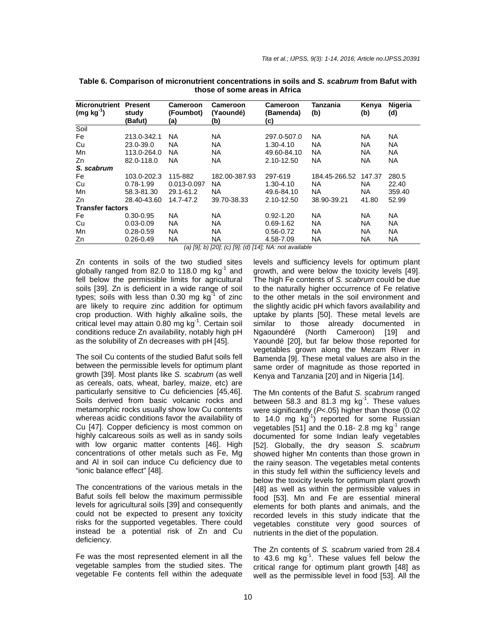| Soil<br><b>NA</b><br><b>NA</b><br>Fe<br>213.0-342.1<br>297.0-507.0<br>NA.<br>NA.<br>NA.<br><b>NA</b><br><b>NA</b><br><b>NA</b><br>Cu<br>23.0-39.0<br>NA.<br>$1.30 - 4.10$<br>NA. |  |
|----------------------------------------------------------------------------------------------------------------------------------------------------------------------------------|--|
|                                                                                                                                                                                  |  |
|                                                                                                                                                                                  |  |
|                                                                                                                                                                                  |  |
| <b>NA</b><br><b>NA</b><br><b>NA</b><br><b>NA</b><br>Mn<br>113.0-264.0<br>NA.<br>49.60-84.10                                                                                      |  |
| <b>NA</b><br><b>NA</b><br>82.0-118.0<br><b>NA</b><br>NA<br>NA<br>2.10-12.50<br>Zn                                                                                                |  |
| S. scabrum                                                                                                                                                                       |  |
| 182.00-387.93<br>280.5<br>103.0-202.3<br>115-882<br>297-619<br>184.45-266.52<br>Fe<br>147.37                                                                                     |  |
| Cu<br>NA.<br>NA.<br>$0.78 - 1.99$<br>0.013-0.097<br>1.30-4.10<br>NA.<br>22.40                                                                                                    |  |
| NA<br>Mn<br>29.1-61.2<br>NA.<br>NA.<br>359.40<br>58.3-81.30<br>49.6-84.10                                                                                                        |  |
| 39.70-38.33<br>38.90-39.21<br>52.99<br>28.40-43.60<br>14.7-47.2<br>2.10-12.50<br>41.80<br>Zn                                                                                     |  |
| <b>Transfer factors</b>                                                                                                                                                          |  |
| <b>NA</b><br><b>NA</b><br>NA.<br>NA.<br>ΝA<br>Fe<br>$0.30 - 0.95$<br>$0.92 - 1.20$                                                                                               |  |
| <b>NA</b><br><b>NA</b><br>Cu<br>NA.<br>NA.<br>NA<br>$0.03 - 0.09$<br>$0.69 - 1.62$                                                                                               |  |
| <b>NA</b><br><b>NA</b><br><b>NA</b><br><b>NA</b><br>Mn<br>0.56-0.72<br>NA<br>$0.28 - 0.59$                                                                                       |  |
| <b>NA</b><br>NA<br><b>NA</b><br>NA<br>Zn<br>$0.26 - 0.49$<br>4.58-7.09<br>NA                                                                                                     |  |

**Table 6. Comparison of micronutrient concentrations in soils and S. scabrum from Bafut with those of some areas in Africa** 

(a) [9]; b) [20]; (c) [9]; (d) [14]; NA: not available

Zn contents in soils of the two studied sites globally ranged from 82.0 to 118.0 mg  $kg<sup>-1</sup>$  and fell below the permissible limits for agricultural soils [39]. Zn is deficient in a wide range of soil types; soils with less than  $0.30$  mg kg<sup>-1</sup> of zinc are likely to require zinc addition for optimum crop production. With highly alkaline soils, the critical level may attain  $0.80$  mg kg<sup>-1</sup>. Certain soil conditions reduce Zn availability, notably high pH as the solubility of Zn decreases with pH [45].

The soil Cu contents of the studied Bafut soils fell between the permissible levels for optimum plant growth [39]. Most plants like S. scabrum (as well as cereals, oats, wheat, barley, maize, etc) are particularly sensitive to Cu deficiencies [45,46]. Soils derived from basic volcanic rocks and metamorphic rocks usually show low Cu contents whereas acidic conditions favor the availability of Cu [47]. Copper deficiency is most common on highly calcareous soils as well as in sandy soils with low organic matter contents [46]. High concentrations of other metals such as Fe, Mg and Al in soil can induce Cu deficiency due to "ionic balance effect" [48].

The concentrations of the various metals in the Bafut soils fell below the maximum permissible levels for agricultural soils [39] and consequently could not be expected to present any toxicity risks for the supported vegetables. There could instead be a potential risk of Zn and Cu deficiency.

Fe was the most represented element in all the vegetable samples from the studied sites. The vegetable Fe contents fell within the adequate levels and sufficiency levels for optimum plant growth, and were below the toxicity levels [49]. The high Fe contents of S. scabrum could be due to the naturally higher occurrence of Fe relative to the other metals in the soil environment and the slightly acidic pH which favors availability and uptake by plants [50]. These metal levels are similar to those already documented in Ngaoundéré (North Cameroon) [19] and Yaoundé [20], but far below those reported for vegetables grown along the Mezam River in Bamenda [9]. These metal values are also in the same order of magnitude as those reported in Kenya and Tanzania [20] and in Nigeria [14].

The Mn contents of the Bafut S. scabrum ranged between 58.3 and 81.3 mg  $kg^{-1}$ . These values were significantly (P<.05) higher than those (0.02 to 14.0 mg  $kg^{-1}$ ) reported for some Russian vegetables  $[51]$  and the 0.18- 2.8 mg kg<sup>-1</sup> range documented for some Indian leafy vegetables [52]. Globally, the dry season S. scabrum showed higher Mn contents than those grown in the rainy season. The vegetables metal contents in this study fell within the sufficiency levels and below the toxicity levels for optimum plant growth [48] as well as within the permissible values in food [53]. Mn and Fe are essential mineral elements for both plants and animals, and the recorded levels in this study indicate that the vegetables constitute very good sources of nutrients in the diet of the population.

The Zn contents of S. scabrum varied from 28.4 to  $43.6$  mg kg<sup>-1</sup>. These values fell below the critical range for optimum plant growth [48] as well as the permissible level in food [53]. All the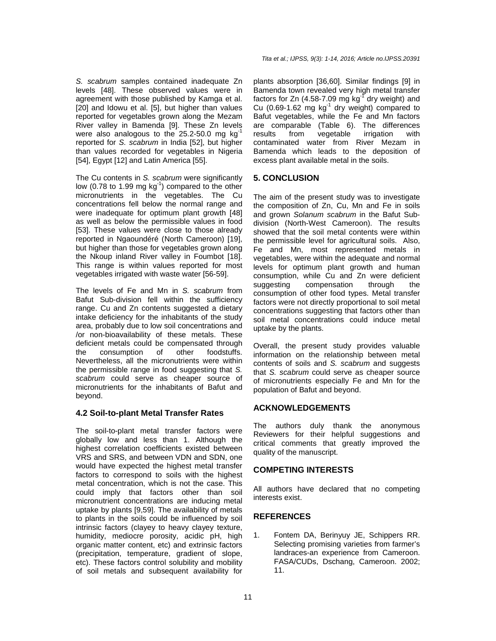S. scabrum samples contained inadequate Zn levels [48]. These observed values were in agreement with those published by Kamga et al. [20] and Idowu et al. [5], but higher than values reported for vegetables grown along the Mezam River valley in Bamenda [9]. These Zn levels were also analogous to the  $25.2 - 50.0$  mg kg<sup>-1</sup> reported for S. scabrum in India [52], but higher than values recorded for vegetables in Nigeria [54], Egypt [12] and Latin America [55].

The Cu contents in S. scabrum were significantly low (0.78 to 1.99 mg  $kg^{-1}$ ) compared to the other micronutrients in the vegetables. The Cu concentrations fell below the normal range and were inadequate for optimum plant growth [48] as well as below the permissible values in food [53]. These values were close to those already reported in Ngaoundéré (North Cameroon) [19], but higher than those for vegetables grown along the Nkoup inland River valley in Foumbot [18]. This range is within values reported for most vegetables irrigated with waste water [56-59].

The levels of Fe and Mn in S. scabrum from Bafut Sub-division fell within the sufficiency range. Cu and Zn contents suggested a dietary intake deficiency for the inhabitants of the study area, probably due to low soil concentrations and /or non-bioavailability of these metals. These deficient metals could be compensated through the consumption of other foodstuffs. Nevertheless, all the micronutrients were within the permissible range in food suggesting that S. scabrum could serve as cheaper source of micronutrients for the inhabitants of Bafut and beyond.

# **4.2 Soil-to-plant Metal Transfer Rates**

The soil-to-plant metal transfer factors were globally low and less than 1. Although the highest correlation coefficients existed between VRS and SRS, and between VDN and SDN, one would have expected the highest metal transfer factors to correspond to soils with the highest metal concentration, which is not the case. This could imply that factors other than soil micronutrient concentrations are inducing metal uptake by plants [9,59]. The availability of metals to plants in the soils could be influenced by soil intrinsic factors (clayey to heavy clayey texture, humidity, mediocre porosity, acidic pH, high organic matter content, etc) and extrinsic factors (precipitation, temperature, gradient of slope, etc). These factors control solubility and mobility of soil metals and subsequent availability for

plants absorption [36,60]. Similar findings [9] in Bamenda town revealed very high metal transfer factors for Zn (4.58-7.09 mg  $kg<sup>1</sup>$  dry weight) and Cu (0.69-1.62 mg  $kg^{-1}$  dry weight) compared to Bafut vegetables, while the Fe and Mn factors are comparable (Table 6). The differences results from vegetable irrigation with contaminated water from River Mezam in Bamenda which leads to the deposition of excess plant available metal in the soils.

#### **5. CONCLUSION**

The aim of the present study was to investigate the composition of Zn, Cu, Mn and Fe in soils and grown Solanum scabrum in the Bafut Subdivision (North-West Cameroon). The results showed that the soil metal contents were within the permissible level for agricultural soils. Also, Fe and Mn, most represented metals in vegetables, were within the adequate and normal levels for optimum plant growth and human consumption, while Cu and Zn were deficient suggesting compensation through the consumption of other food types. Metal transfer factors were not directly proportional to soil metal concentrations suggesting that factors other than soil metal concentrations could induce metal uptake by the plants.

Overall, the present study provides valuable information on the relationship between metal contents of soils and S. scabrum and suggests that S. scabrum could serve as cheaper source of micronutrients especially Fe and Mn for the population of Bafut and beyond.

# **ACKNOWLEDGEMENTS**

The authors duly thank the anonymous Reviewers for their helpful suggestions and critical comments that greatly improved the quality of the manuscript.

# **COMPETING INTERESTS**

All authors have declared that no competing interests exist.

# **REFERENCES**

1. Fontem DA, Berinyuy JE, Schippers RR. Selecting promising varieties from farmer's landraces-an experience from Cameroon. FASA/CUDs, Dschang, Cameroon. 2002; 11.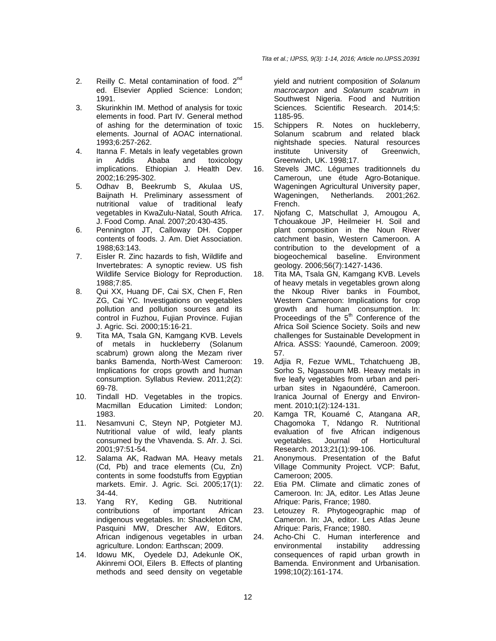- 2. Reilly C. Metal contamination of food.  $2^{nd}$ ed. Elsevier Applied Science: London; 1991.
- 3. Skurinkhin IM. Method of analysis for toxic elements in food. Part IV. General method of ashing for the determination of toxic elements. Journal of AOAC international. 1993;6:257-262.
- 4. Itanna F. Metals in leafy vegetables grown in Addis Ababa and toxicology implications. Ethiopian J. Health Dev. 2002;16:295-302.
- 5. Odhav B, Beekrumb S, Akulaa US, Baijnath H. Preliminary assessment of nutritional value of traditional leafy vegetables in KwaZulu-Natal, South Africa. J. Food Comp. Anal. 2007;20:430-435.
- 6. Pennington JT, Calloway DH. Copper contents of foods. J. Am. Diet Association. 1988;63:143.
- 7. Eisler R. Zinc hazards to fish, Wildlife and Invertebrates: A synoptic review. US fish Wildlife Service Biology for Reproduction. 1988;7:85.
- 8. Qui XX, Huang DF, Cai SX, Chen F, Ren ZG, Cai YC. Investigations on vegetables pollution and pollution sources and its control in Fuzhou, Fujian Province. Fujian J. Agric. Sci. 2000;15:16-21.
- 9. Tita MA, Tsala GN, Kamgang KVB. Levels of metals in huckleberry (Solanum scabrum) grown along the Mezam river banks Bamenda, North-West Cameroon: Implications for crops growth and human consumption. Syllabus Review. 2011;2(2): 69-78.
- 10. Tindall HD. Vegetables in the tropics. Macmillan Education Limited: London; 1983.
- 11. Nesamvuni C, Steyn NP, Potgieter MJ. Nutritional value of wild, leafy plants consumed by the Vhavenda. S. Afr. J. Sci. 2001;97:51-54.
- 12. Salama AK, Radwan MA. Heavy metals (Cd, Pb) and trace elements (Cu, Zn) contents in some foodstuffs from Egyptian markets. Emir. J. Agric. Sci. 2005;17(1): 34-44.<br>Yang RY,
- 13. Yang RY, Keding GB. Nutritional contributions of important African indigenous vegetables. In: Shackleton CM, Pasquini MW, Drescher AW, Editors. African indigenous vegetables in urban agriculture. London: Earthscan; 2009.
- 14. Idowu MK, Oyedele DJ, Adekunle OK, Akinremi OOl, Eilers B. Effects of planting methods and seed density on vegetable

yield and nutrient composition of Solanum macrocarpon and Solanum scabrum in Southwest Nigeria. Food and Nutrition Sciences. Scientific Research. 2014;5: 1185-95.

- 15. Schippers R. Notes on huckleberry, Solanum scabrum and related black nightshade species. Natural resources institute University of Greenwich, Greenwich, UK. 1998;17.
- 16. Stevels JMC. Légumes traditionnels du Cameroun, une étude Agro-Botanique. Wageningen Agricultural University paper, Wageningen, Netherlands. 2001;262. French.
- 17. Njofang C, Matschullat J, Amougou A, Tchouakoue JP, Heilmeier H. Soil and plant composition in the Noun River catchment basin, Western Cameroon. A contribution to the development of a biogeochemical baseline. Environment geology. 2006;56(7):1427-1436.
- 18. Tita MA, Tsala GN, Kamgang KVB. Levels of heavy metals in vegetables grown along the Nkoup River banks in Foumbot, Western Cameroon: Implications for crop growth and human consumption. In: Proceedings of the  $5<sup>th</sup>$  Conference of the Africa Soil Science Society. Soils and new challenges for Sustainable Development in Africa. ASSS: Yaoundé, Cameroon. 2009; 57.
- 19. Adjia R, Fezue WML, Tchatchueng JB, Sorho S, Ngassoum MB. Heavy metals in five leafy vegetables from urban and periurban sites in Ngaoundéré, Cameroon. Iranica Journal of Energy and Environment. 2010;1(2):124-131.
- 20. Kamga TR, Kouamé C, Atangana AR, Chagomoka T, Ndango R. Nutritional evaluation of five African indigenous vegetables. Journal of Horticultural Research. 2013;21(1):99-106.
- 21. Anonymous. Presentation of the Bafut Village Community Project. VCP: Bafut, Cameroon; 2005.
- 22. Etia PM. Climate and climatic zones of Cameroon. In: JA, editor. Les Atlas Jeune Afrique: Paris, France; 1980.
- 23. Letouzey R. Phytogeographic map of Cameron. In: JA, editor. Les Atlas Jeune Afrique: Paris, France; 1980.
- 24. Acho-Chi C. Human interference and environmental instability addressing consequences of rapid urban growth in Bamenda. Environment and Urbanisation. 1998;10(2):161-174.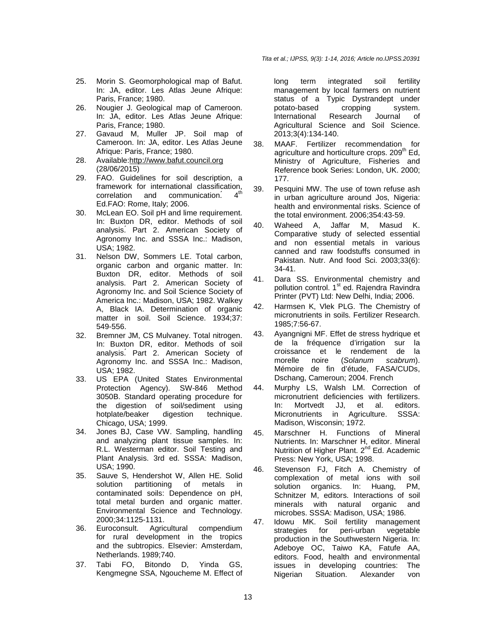- 25. Morin S. Geomorphological map of Bafut. In: JA, editor, Les Atlas Jeune Afrique: Paris, France; 1980.
- 26. Nougier J. Geological map of Cameroon. In: JA, editor. Les Atlas Jeune Afrique: Paris, France; 1980.
- 27. Gavaud M, Muller JP. Soil map of Cameroon. In: JA, editor. Les Atlas Jeune Afrique: Paris, France; 1980.
- 28. Available:http://www.bafut.council.org (28/06/2015)
- 29. FAO. Guidelines for soil description, a framework for international classification,<br>correlation and communication 4<sup>th</sup> correlation and communication. Ed.FAO: Rome, Italy; 2006.
- 30. McLean EO. Soil pH and lime requirement. In: Buxton DR, editor. Methods of soil analysis.́ Part 2. American Society of Agronomy Inc. and SSSA Inc.: Madison, USA; 1982.
- 31. Nelson DW, Sommers LE. Total carbon, organic carbon and organic matter. In: Buxton DR, editor. Methods of soil analysis. Part 2. American Society of Agronomy Inc. and Soil Science Society of America Inc.: Madison, USA; 1982. Walkey A, Black IA. Determination of organic matter in soil. Soil Science. 1934;37: 549-556.
- 32. Bremner JM, CS Mulvaney. Total nitrogen. In: Buxton DR, editor. Methods of soil analysis.́ Part 2. American Society of Agronomy Inc. and SSSA Inc.: Madison, USA; 1982.
- 33. US EPA (United States Environmental Protection Agency). SW-846 Method 3050B. Standard operating procedure for the digestion of soil/sediment using<br>hotplate/beaker digestion technique. hotplate/beaker digestion technique. Chicago, USA; 1999.
- 34. Jones BJ, Case VW. Sampling, handling and analyzing plant tissue samples. In: R.L. Westerman editor. Soil Testing and Plant Analysis. 3rd ed. SSSA: Madison, USA; 1990.
- 35. Sauve S, Hendershot W, Allen HE. Solid solution partitioning of metals in contaminated soils: Dependence on pH, total metal burden and organic matter. Environmental Science and Technology. 2000;34:1125-1131.
- 36. Euroconsult. Agricultural compendium for rural development in the tropics and the subtropics. Elsevier: Amsterdam, Netherlands. 1989;740.
- 37. Tabi FO, Bitondo D, Yinda GS, Kengmegne SSA, Ngoucheme M. Effect of

long term integrated soil fertility management by local farmers on nutrient status of a Typic Dystrandept under potato-based cropping system. International Research Journal of Agricultural Science and Soil Science. 2013;3(4):134-140.

- 38. MAAF. Fertilizer recommendation for agriculture and horticulture crops.  $209<sup>th</sup>$  Ed, Ministry of Agriculture, Fisheries and Reference book Series: London, UK. 2000; 177.
- 39. Pesquini MW. The use of town refuse ash in urban agriculture around Jos, Nigeria: health and environmental risks. Science of the total environment. 2006;354:43-59.
- 40. Waheed A, Jaffar M, Masud K. Comparative study of selected essential and non essential metals in various canned and raw foodstuffs consumed in Pakistan. Nutr. And food Sci. 2003;33(6): 34-41.
- 41. Dara SS. Environmental chemistry and pollution control. 1<sup>st</sup> ed. Rajendra Ravindra Printer (PVT) Ltd: New Delhi, India; 2006.
- 42. Harmsen K, Vlek PLG. The Chemistry of micronutrients in soils. Fertilizer Research. 1985;7:56-67.
- 43. Ayangnigni MF. Effet de stress hydrique et de la fréquence d'irrigation sur la croissance et le rendement de la morelle noire (Solanum scabrum). Mémoire de fin d'étude, FASA/CUDs, Dschang, Cameroun; 2004. French
- 44. Murphy LS, Walsh LM. Correction of micronutrient deficiencies with fertilizers. In: Mortvedt JJ, et al. editors. Micronutrients in Agriculture. SSSA: Madison, Wisconsin; 1972.
- 45. Marschner H. Functions of Mineral Nutrients. In: Marschner H, editor. Mineral Nutrition of Higher Plant. 2<sup>nd</sup> Ed. Academic Press: New York, USA; 1998.
- 46. Stevenson FJ, Fitch A. Chemistry of complexation of metal ions with soil solution organics. In: Huang, PM, Schnitzer M, editors. Interactions of soil minerals with natural organic and microbes. SSSA: Madison, USA; 1986.
- 47. Idowu MK. Soil fertility management strategies for peri-urban vegetable production in the Southwestern Nigeria. In: Adeboye OC, Taiwo KA, Fatufe AA, editors. Food, health and environmental issues in developing countries: The Nigerian Situation. Alexander von